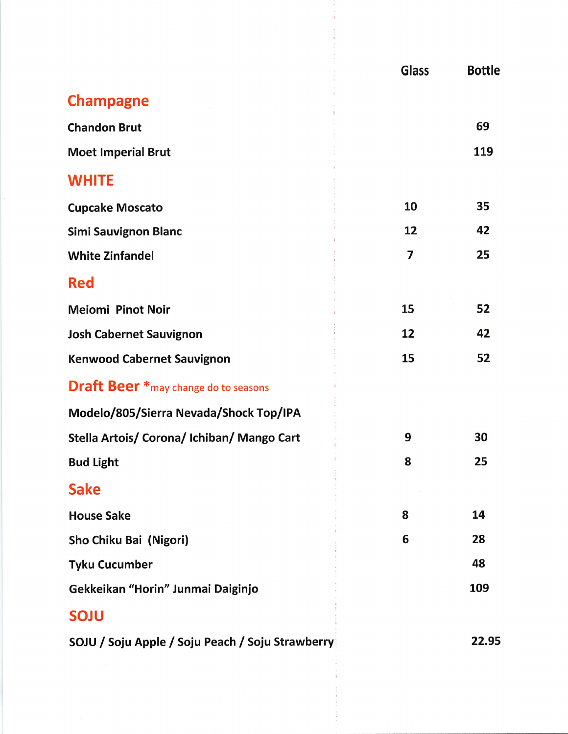|                                                  | <b>Glass</b> | <b>Bottle</b> |
|--------------------------------------------------|--------------|---------------|
| <b>Champagne</b>                                 |              |               |
| <b>Chandon Brut</b>                              |              | 69            |
| <b>Moet Imperial Brut</b>                        |              | 119           |
| <b>WHITE</b>                                     |              |               |
| <b>Cupcake Moscato</b>                           | 10           | 35            |
| <b>Simi Sauvignon Blanc</b>                      | 12           | 42            |
| <b>White Zinfandel</b>                           | 7            | 25            |
| <b>Red</b>                                       |              |               |
| <b>Meiomi Pinot Noir</b>                         | 15           | 52            |
| <b>Josh Cabernet Sauvignon</b>                   | 12           | 42            |
| <b>Kenwood Cabernet Sauvignon</b>                | 15           | 52            |
| <b>Draft Beer</b> * may change do to seasons     |              |               |
| Modelo/805/Sierra Nevada/Shock Top/IPA           |              |               |
| Stella Artois/ Corona/ Ichiban/ Mango Cart       | 9            | 30            |
| <b>Bud Light</b>                                 | 8            | 25            |
| <b>Sake</b>                                      |              |               |
| <b>House Sake</b>                                | 8            | 14            |
| Sho Chiku Bai (Nigori)                           | 6            | 28            |
| <b>Tyku Cucumber</b>                             |              | 48            |
| Gekkeikan "Horin" Junmai Daiginjo                |              | 109           |
| <b>SOJU</b>                                      |              |               |
| SOJU / Soju Apple / Soju Peach / Soju Strawberry |              | 22.95         |
|                                                  |              |               |

 $\sim$  $\frac{1}{4}$  .

Î